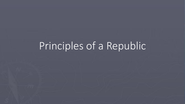# Principles of a Republic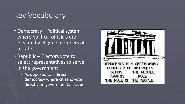## Key Vocabulary

- Democracy Political system where political officials are elected by eligible members of a state
- Republic Electors vote to select representatives to serve in the government
	- As opposed to a direct democracy where citizens vote directly on governmental issues

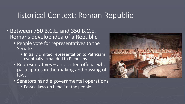#### Historical Context: Roman Republic

- Between 750 B.C.E. and 350 B.C.E. Romans develop idea of a Republic
	- People vote for representatives to the Senate
		- Initially Limited representation to Patricians, eventually expanded to Plebeians
	- Representatives an elected official who participates in the making and passing of llaws<sub>1</sub>
	- Senators handle governmental operations
		- Passed laws on behalf of the people

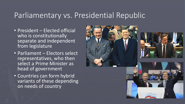#### Parliamentary vs. Presidential Republic

- President Elected official who is constitutionally separate and independent from legislature
- Parliament Electors select representatives, who then select a Prime Minister as head of government
- Countries can form hybrid variants of these depending on needs of country

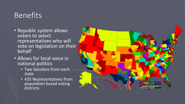## Benefits

- Republic system allows voters to select representatives who will vote on legislation on their behalf
- Allows for local voice in national politics
	- Two Senators from each state
	- 435 Representatives from population based voting districts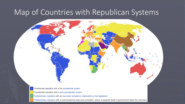### Map of Countries with Republican Systems

Presidential republics with a full presidential system Presidential republics with a semi-presidential system

Parliamentary republics with an executive presidency dependent on the legislature

Parliamentary republics with a ceremonial/non-executive president, where a separate head of government leads the executive